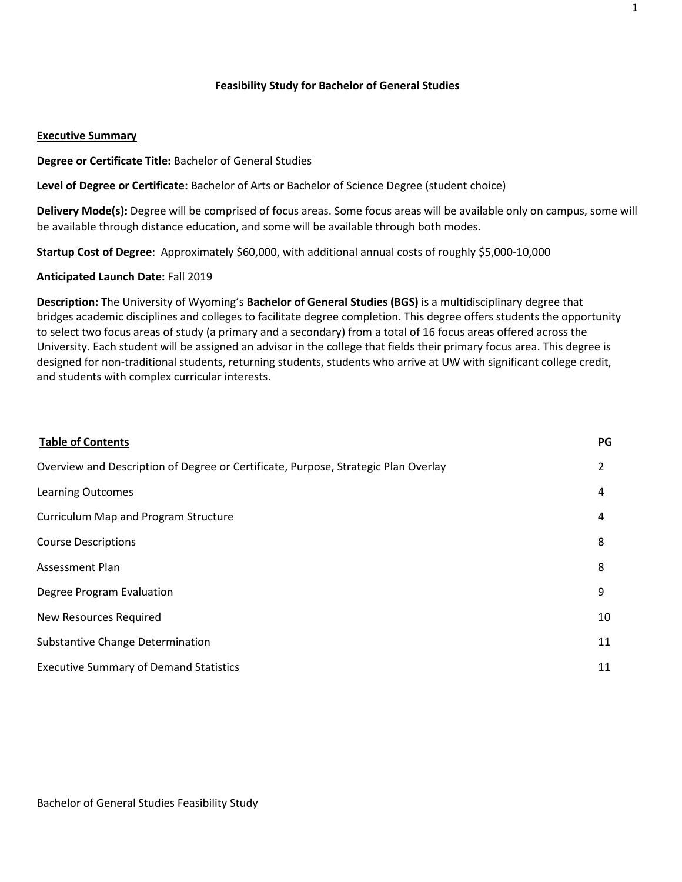## **Feasibility Study for Bachelor of General Studies**

#### **Executive Summary**

**Degree or Certificate Title:** Bachelor of General Studies

**Level of Degree or Certificate:** Bachelor of Arts or Bachelor of Science Degree (student choice)

**Delivery Mode(s):** Degree will be comprised of focus areas. Some focus areas will be available only on campus, some will be available through distance education, and some will be available through both modes.

**Startup Cost of Degree**: Approximately \$60,000, with additional annual costs of roughly \$5,000-10,000

**Anticipated Launch Date:** Fall 2019

**Description:** The University of Wyoming's **Bachelor of General Studies (BGS)** is a multidisciplinary degree that bridges academic disciplines and colleges to facilitate degree completion. This degree offers students the opportunity to select two focus areas of study (a primary and a secondary) from a total of 16 focus areas offered across the University. Each student will be assigned an advisor in the college that fields their primary focus area. This degree is designed for non-traditional students, returning students, students who arrive at UW with significant college credit, and students with complex curricular interests.

| <b>Table of Contents</b>                                                           | PG             |
|------------------------------------------------------------------------------------|----------------|
| Overview and Description of Degree or Certificate, Purpose, Strategic Plan Overlay | $\overline{2}$ |
| <b>Learning Outcomes</b>                                                           | 4              |
| <b>Curriculum Map and Program Structure</b>                                        | 4              |
| <b>Course Descriptions</b>                                                         | 8              |
| <b>Assessment Plan</b>                                                             | 8              |
| Degree Program Evaluation                                                          | 9              |
| New Resources Required                                                             | 10             |
| <b>Substantive Change Determination</b>                                            | 11             |
| <b>Executive Summary of Demand Statistics</b>                                      | 11             |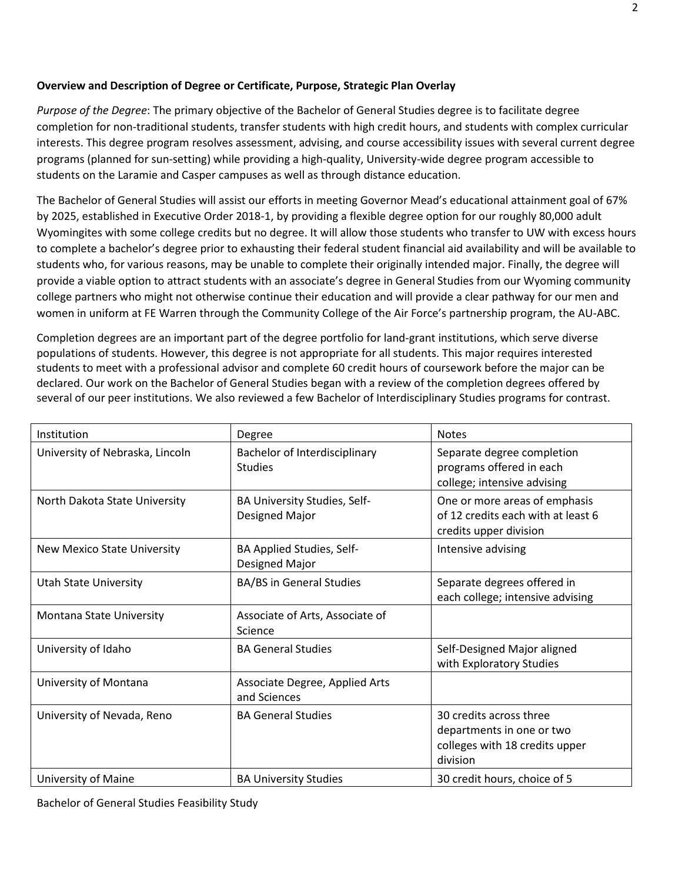# **Overview and Description of Degree or Certificate, Purpose, Strategic Plan Overlay**

*Purpose of the Degree*: The primary objective of the Bachelor of General Studies degree is to facilitate degree completion for non-traditional students, transfer students with high credit hours, and students with complex curricular interests. This degree program resolves assessment, advising, and course accessibility issues with several current degree programs (planned for sun-setting) while providing a high-quality, University-wide degree program accessible to students on the Laramie and Casper campuses as well as through distance education.

The Bachelor of General Studies will assist our efforts in meeting Governor Mead's educational attainment goal of 67% by 2025, established in Executive Order 2018-1, by providing a flexible degree option for our roughly 80,000 adult Wyomingites with some college credits but no degree. It will allow those students who transfer to UW with excess hours to complete a bachelor's degree prior to exhausting their federal student financial aid availability and will be available to students who, for various reasons, may be unable to complete their originally intended major. Finally, the degree will provide a viable option to attract students with an associate's degree in General Studies from our Wyoming community college partners who might not otherwise continue their education and will provide a clear pathway for our men and women in uniform at FE Warren through the Community College of the Air Force's partnership program, the AU-ABC.

Completion degrees are an important part of the degree portfolio for land-grant institutions, which serve diverse populations of students. However, this degree is not appropriate for all students. This major requires interested students to meet with a professional advisor and complete 60 credit hours of coursework before the major can be declared. Our work on the Bachelor of General Studies began with a review of the completion degrees offered by several of our peer institutions. We also reviewed a few Bachelor of Interdisciplinary Studies programs for contrast.

| Institution                        | Degree                                          | <b>Notes</b>                                                                                       |
|------------------------------------|-------------------------------------------------|----------------------------------------------------------------------------------------------------|
| University of Nebraska, Lincoln    | Bachelor of Interdisciplinary<br><b>Studies</b> | Separate degree completion<br>programs offered in each<br>college; intensive advising              |
| North Dakota State University      | BA University Studies, Self-<br>Designed Major  | One or more areas of emphasis<br>of 12 credits each with at least 6<br>credits upper division      |
| <b>New Mexico State University</b> | BA Applied Studies, Self-<br>Designed Major     | Intensive advising                                                                                 |
| <b>Utah State University</b>       | <b>BA/BS in General Studies</b>                 | Separate degrees offered in<br>each college; intensive advising                                    |
| Montana State University           | Associate of Arts, Associate of<br>Science      |                                                                                                    |
| University of Idaho                | <b>BA General Studies</b>                       | Self-Designed Major aligned<br>with Exploratory Studies                                            |
| University of Montana              | Associate Degree, Applied Arts<br>and Sciences  |                                                                                                    |
| University of Nevada, Reno         | <b>BA General Studies</b>                       | 30 credits across three<br>departments in one or two<br>colleges with 18 credits upper<br>division |
| University of Maine                | <b>BA University Studies</b>                    | 30 credit hours, choice of 5                                                                       |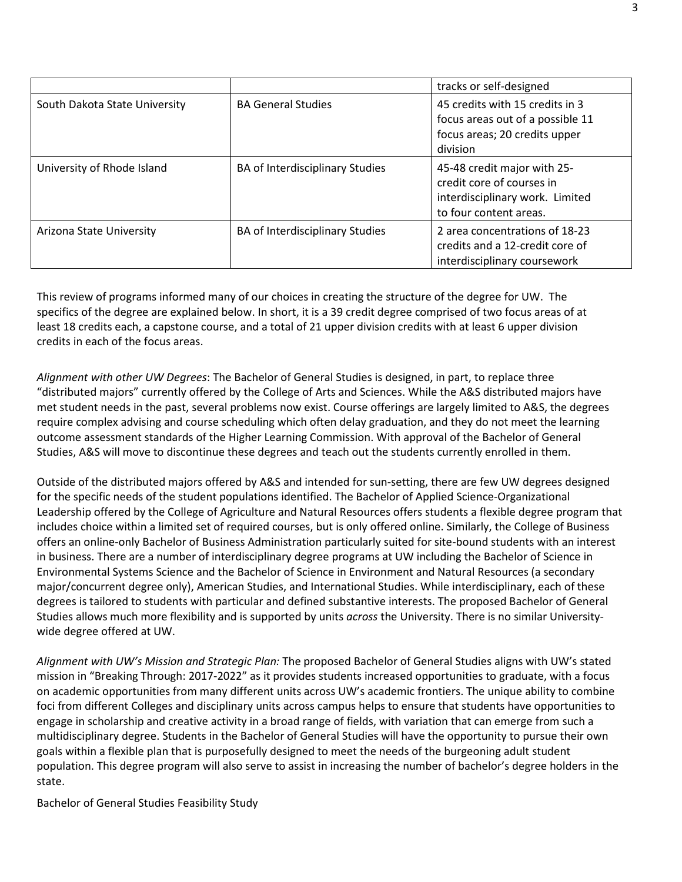|                               |                                 | tracks or self-designed                                                                                               |
|-------------------------------|---------------------------------|-----------------------------------------------------------------------------------------------------------------------|
| South Dakota State University | <b>BA General Studies</b>       | 45 credits with 15 credits in 3<br>focus areas out of a possible 11<br>focus areas; 20 credits upper<br>division      |
| University of Rhode Island    | BA of Interdisciplinary Studies | 45-48 credit major with 25-<br>credit core of courses in<br>interdisciplinary work. Limited<br>to four content areas. |
| Arizona State University      | BA of Interdisciplinary Studies | 2 area concentrations of 18-23<br>credits and a 12-credit core of<br>interdisciplinary coursework                     |

This review of programs informed many of our choices in creating the structure of the degree for UW. The specifics of the degree are explained below. In short, it is a 39 credit degree comprised of two focus areas of at least 18 credits each, a capstone course, and a total of 21 upper division credits with at least 6 upper division credits in each of the focus areas.

*Alignment with other UW Degrees*: The Bachelor of General Studies is designed, in part, to replace three "distributed majors" currently offered by the College of Arts and Sciences. While the A&S distributed majors have met student needs in the past, several problems now exist. Course offerings are largely limited to A&S, the degrees require complex advising and course scheduling which often delay graduation, and they do not meet the learning outcome assessment standards of the Higher Learning Commission. With approval of the Bachelor of General Studies, A&S will move to discontinue these degrees and teach out the students currently enrolled in them.

Outside of the distributed majors offered by A&S and intended for sun-setting, there are few UW degrees designed for the specific needs of the student populations identified. The Bachelor of Applied Science-Organizational Leadership offered by the College of Agriculture and Natural Resources offers students a flexible degree program that includes choice within a limited set of required courses, but is only offered online. Similarly, the College of Business offers an online-only Bachelor of Business Administration particularly suited for site-bound students with an interest in business. There are a number of interdisciplinary degree programs at UW including the Bachelor of Science in Environmental Systems Science and the Bachelor of Science in Environment and Natural Resources (a secondary major/concurrent degree only), American Studies, and International Studies. While interdisciplinary, each of these degrees is tailored to students with particular and defined substantive interests. The proposed Bachelor of General Studies allows much more flexibility and is supported by units *across* the University. There is no similar Universitywide degree offered at UW.

*Alignment with UW's Mission and Strategic Plan:* The proposed Bachelor of General Studies aligns with UW's stated mission in "Breaking Through: 2017-2022" as it provides students increased opportunities to graduate, with a focus on academic opportunities from many different units across UW's academic frontiers. The unique ability to combine foci from different Colleges and disciplinary units across campus helps to ensure that students have opportunities to engage in scholarship and creative activity in a broad range of fields, with variation that can emerge from such a multidisciplinary degree. Students in the Bachelor of General Studies will have the opportunity to pursue their own goals within a flexible plan that is purposefully designed to meet the needs of the burgeoning adult student population. This degree program will also serve to assist in increasing the number of bachelor's degree holders in the state.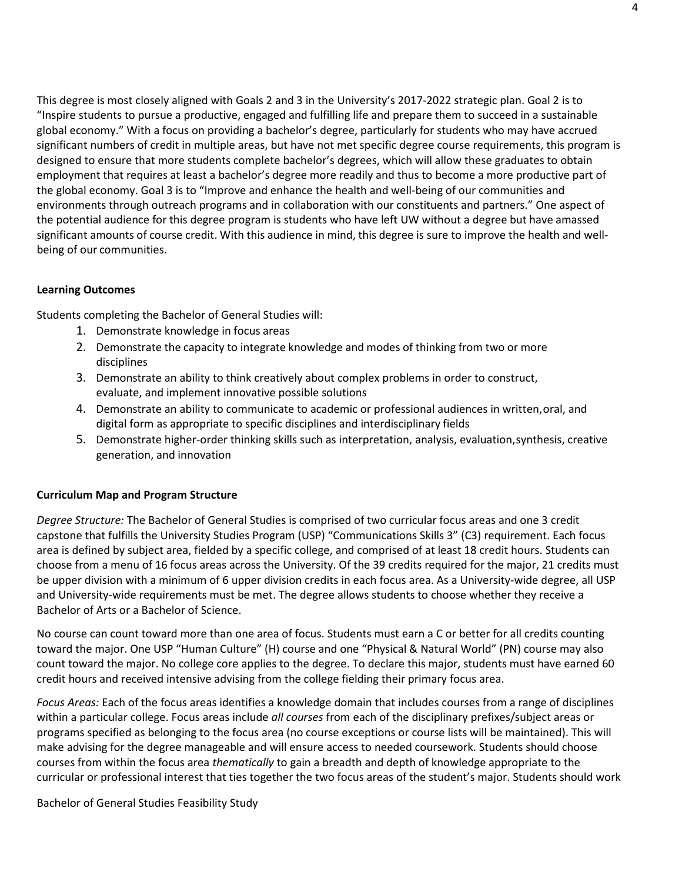This degree is most closely aligned with Goals 2 and 3 in the University's 2017-2022 strategic plan. Goal 2 is to "Inspire students to pursue a productive, engaged and fulfilling life and prepare them to succeed in a sustainable global economy." With a focus on providing a bachelor's degree, particularly for students who may have accrued significant numbers of credit in multiple areas, but have not met specific degree course requirements, this program is designed to ensure that more students complete bachelor's degrees, which will allow these graduates to obtain employment that requires at least a bachelor's degree more readily and thus to become a more productive part of the global economy. Goal 3 is to "Improve and enhance the health and well-being of our communities and environments through outreach programs and in collaboration with our constituents and partners." One aspect of the potential audience for this degree program is students who have left UW without a degree but have amassed significant amounts of course credit. With this audience in mind, this degree is sure to improve the health and wellbeing of our communities.

## **Learning Outcomes**

Students completing the Bachelor of General Studies will:

- 1. Demonstrate knowledge in focus areas
- 2. Demonstrate the capacity to integrate knowledge and modes of thinking from two or more disciplines
- 3. Demonstrate an ability to think creatively about complex problems in order to construct, evaluate, and implement innovative possible solutions
- 4. Demonstrate an ability to communicate to academic or professional audiences in written,oral, and digital form as appropriate to specific disciplines and interdisciplinary fields
- 5. Demonstrate higher-order thinking skills such as interpretation, analysis, evaluation,synthesis, creative generation, and innovation

## **Curriculum Map and Program Structure**

*Degree Structure:* The Bachelor of General Studies is comprised of two curricular focus areas and one 3 credit capstone that fulfills the University Studies Program (USP) "Communications Skills 3" (C3) requirement. Each focus area is defined by subject area, fielded by a specific college, and comprised of at least 18 credit hours. Students can choose from a menu of 16 focus areas across the University. Of the 39 credits required for the major, 21 credits must be upper division with a minimum of 6 upper division credits in each focus area. As a University-wide degree, all USP and University-wide requirements must be met. The degree allows students to choose whether they receive a Bachelor of Arts or a Bachelor of Science.

No course can count toward more than one area of focus. Students must earn a C or better for all credits counting toward the major. One USP "Human Culture" (H) course and one "Physical & Natural World" (PN) course may also count toward the major. No college core applies to the degree. To declare this major, students must have earned 60 credit hours and received intensive advising from the college fielding their primary focus area.

*Focus Areas:* Each of the focus areas identifies a knowledge domain that includes courses from a range of disciplines within a particular college. Focus areas include *all courses* from each of the disciplinary prefixes/subject areas or programs specified as belonging to the focus area (no course exceptions or course lists will be maintained). This will make advising for the degree manageable and will ensure access to needed coursework. Students should choose courses from within the focus area *thematically* to gain a breadth and depth of knowledge appropriate to the curricular or professional interest that ties together the two focus areas of the student's major. Students should work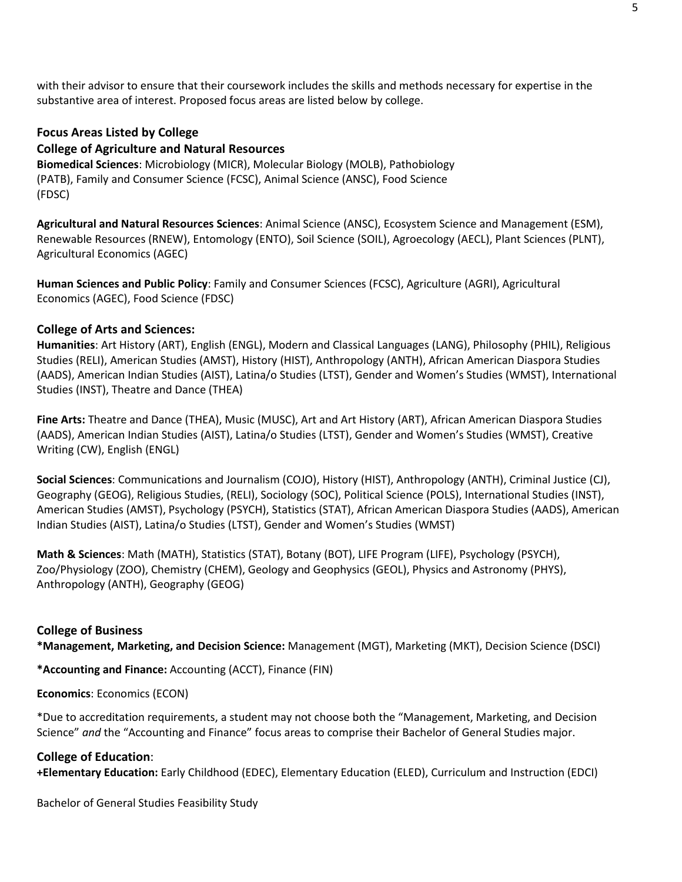with their advisor to ensure that their coursework includes the skills and methods necessary for expertise in the substantive area of interest. Proposed focus areas are listed below by college.

# **Focus Areas Listed by College**

## **College of Agriculture and Natural Resources**

**Biomedical Sciences**: Microbiology (MICR), Molecular Biology (MOLB), Pathobiology (PATB), Family and Consumer Science (FCSC), Animal Science (ANSC), Food Science (FDSC)

**Agricultural and Natural Resources Sciences**: Animal Science (ANSC), Ecosystem Science and Management (ESM), Renewable Resources (RNEW), Entomology (ENTO), Soil Science (SOIL), Agroecology (AECL), Plant Sciences (PLNT), Agricultural Economics (AGEC)

**Human Sciences and Public Policy**: Family and Consumer Sciences (FCSC), Agriculture (AGRI), Agricultural Economics (AGEC), Food Science (FDSC)

## **College of Arts and Sciences:**

**Humanities**: Art History (ART), English (ENGL), Modern and Classical Languages (LANG), Philosophy (PHIL), Religious Studies (RELI), American Studies (AMST), History (HIST), Anthropology (ANTH), African American Diaspora Studies (AADS), American Indian Studies (AIST), Latina/o Studies (LTST), Gender and Women's Studies (WMST), International Studies (INST), Theatre and Dance (THEA)

**Fine Arts:** Theatre and Dance (THEA), Music (MUSC), Art and Art History (ART), African American Diaspora Studies (AADS), American Indian Studies (AIST), Latina/o Studies (LTST), Gender and Women's Studies (WMST), Creative Writing (CW), English (ENGL)

**Social Sciences**: Communications and Journalism (COJO), History (HIST), Anthropology (ANTH), Criminal Justice (CJ), Geography (GEOG), Religious Studies, (RELI), Sociology (SOC), Political Science (POLS), International Studies (INST), American Studies (AMST), Psychology (PSYCH), Statistics (STAT), African American Diaspora Studies (AADS), American Indian Studies (AIST), Latina/o Studies (LTST), Gender and Women's Studies (WMST)

**Math & Sciences**: Math (MATH), Statistics (STAT), Botany (BOT), LIFE Program (LIFE), Psychology (PSYCH), Zoo/Physiology (ZOO), Chemistry (CHEM), Geology and Geophysics (GEOL), Physics and Astronomy (PHYS), Anthropology (ANTH), Geography (GEOG)

## **College of Business**

**\*Management, Marketing, and Decision Science:** Management (MGT), Marketing (MKT), Decision Science (DSCI)

**\*Accounting and Finance:** Accounting (ACCT), Finance (FIN)

## **Economics**: Economics (ECON)

\*Due to accreditation requirements, a student may not choose both the "Management, Marketing, and Decision Science" *and* the "Accounting and Finance" focus areas to comprise their Bachelor of General Studies major.

#### **College of Education**:

**+Elementary Education:** Early Childhood (EDEC), Elementary Education (ELED), Curriculum and Instruction (EDCI)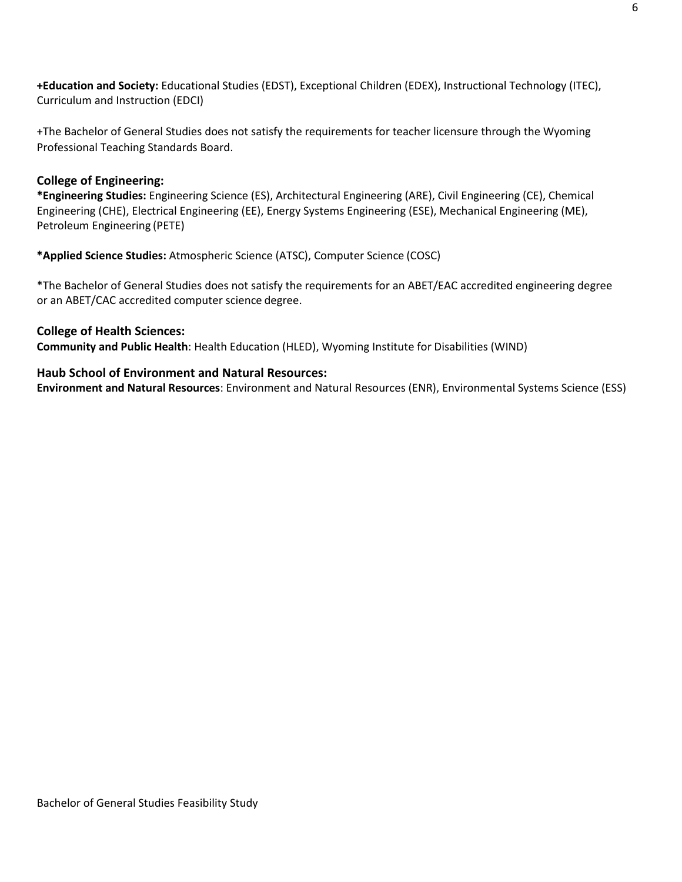**+Education and Society:** Educational Studies (EDST), Exceptional Children (EDEX), Instructional Technology (ITEC), Curriculum and Instruction (EDCI)

+The Bachelor of General Studies does not satisfy the requirements for teacher licensure through the Wyoming Professional Teaching Standards Board.

# **College of Engineering:**

**\*Engineering Studies:** Engineering Science (ES), Architectural Engineering (ARE), Civil Engineering (CE), Chemical Engineering (CHE), Electrical Engineering (EE), Energy Systems Engineering (ESE), Mechanical Engineering (ME), Petroleum Engineering (PETE)

**\*Applied Science Studies:** Atmospheric Science (ATSC), Computer Science (COSC)

\*The Bachelor of General Studies does not satisfy the requirements for an ABET/EAC accredited engineering degree or an ABET/CAC accredited computer science degree.

# **College of Health Sciences:**

**Community and Public Health**: Health Education (HLED), Wyoming Institute for Disabilities (WIND)

# **Haub School of Environment and Natural Resources:**

**Environment and Natural Resources**: Environment and Natural Resources (ENR), Environmental Systems Science (ESS)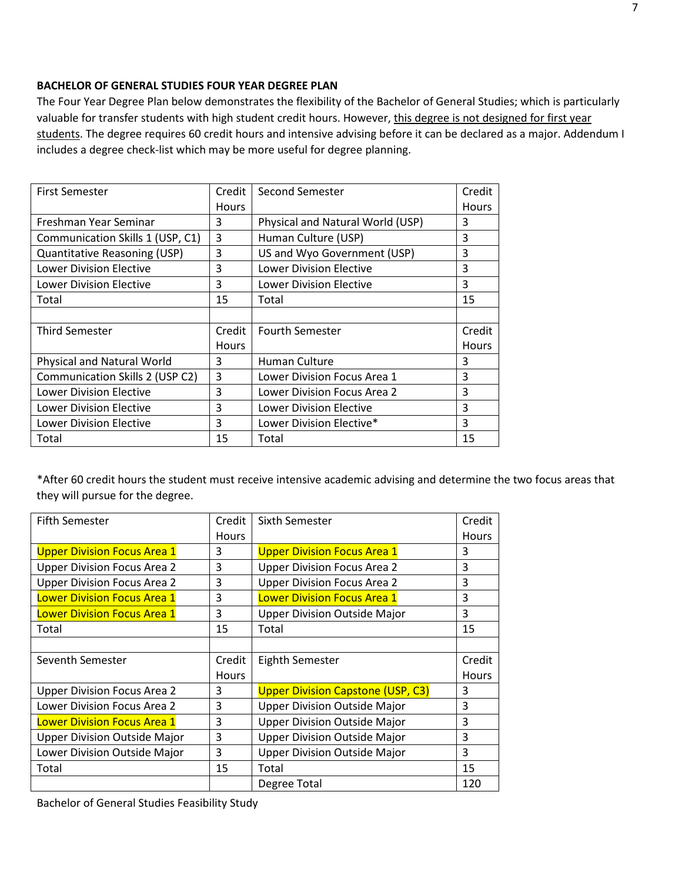## **BACHELOR OF GENERAL STUDIES FOUR YEAR DEGREE PLAN**

The Four Year Degree Plan below demonstrates the flexibility of the Bachelor of General Studies; which is particularly valuable for transfer students with high student credit hours. However, this degree is not designed for first year students. The degree requires 60 credit hours and intensive advising before it can be declared as a major. Addendum I includes a degree check-list which may be more useful for degree planning.

| <b>First Semester</b>               | Credit | <b>Second Semester</b><br>Credit |              |
|-------------------------------------|--------|----------------------------------|--------------|
|                                     | Hours  |                                  | Hours        |
| Freshman Year Seminar               | 3      | Physical and Natural World (USP) | 3            |
| Communication Skills 1 (USP, C1)    | 3      | Human Culture (USP)              | 3            |
| <b>Quantitative Reasoning (USP)</b> | 3      | US and Wyo Government (USP)      | 3            |
| <b>Lower Division Elective</b>      | 3      | <b>Lower Division Elective</b>   | 3            |
| <b>Lower Division Elective</b>      | 3      | <b>Lower Division Elective</b>   | 3            |
| Total                               | 15     | Total                            | 15           |
|                                     |        |                                  |              |
| Third Semester                      | Credit | <b>Fourth Semester</b>           | Credit       |
|                                     | Hours  |                                  | <b>Hours</b> |
| Physical and Natural World          | 3      | Human Culture                    | 3            |
| Communication Skills 2 (USP C2)     | 3      | Lower Division Focus Area 1      | 3            |
| <b>Lower Division Elective</b>      | 3      | Lower Division Focus Area 2      | 3            |
| <b>Lower Division Elective</b>      | 3      | <b>Lower Division Elective</b>   | 3            |
| <b>Lower Division Elective</b>      | 3      | Lower Division Elective*         | 3            |
| Total                               | 15     | Total                            | 15           |

\*After 60 credit hours the student must receive intensive academic advising and determine the two focus areas that they will pursue for the degree.

| <b>Fifth Semester</b>               | Credit | Sixth Semester<br>Credit                 |              |
|-------------------------------------|--------|------------------------------------------|--------------|
|                                     | Hours  |                                          | Hours        |
| <b>Upper Division Focus Area 1</b>  | 3      | <b>Upper Division Focus Area 1</b>       | 3            |
| <b>Upper Division Focus Area 2</b>  | 3      | <b>Upper Division Focus Area 2</b>       | 3            |
| <b>Upper Division Focus Area 2</b>  | 3      | <b>Upper Division Focus Area 2</b>       | 3            |
| <b>Lower Division Focus Area 1</b>  | 3      | <b>Lower Division Focus Area 1</b>       |              |
| <b>Lower Division Focus Area 1</b>  | 3      | <b>Upper Division Outside Major</b>      | 3            |
| Total                               | 15     | Total                                    | 15           |
|                                     |        |                                          |              |
| Seventh Semester                    | Credit | <b>Eighth Semester</b>                   | Credit       |
|                                     | Hours  |                                          | <b>Hours</b> |
|                                     |        |                                          |              |
| <b>Upper Division Focus Area 2</b>  | 3      | <b>Upper Division Capstone (USP, C3)</b> | 3            |
| Lower Division Focus Area 2         | 3      | <b>Upper Division Outside Major</b>      | 3            |
| <b>Lower Division Focus Area 1</b>  | 3      | <b>Upper Division Outside Major</b>      | 3            |
| <b>Upper Division Outside Major</b> | 3      | <b>Upper Division Outside Major</b>      | 3            |
| Lower Division Outside Major        | 3      | <b>Upper Division Outside Major</b>      | 3            |
| Total                               | 15     | Total                                    | 15           |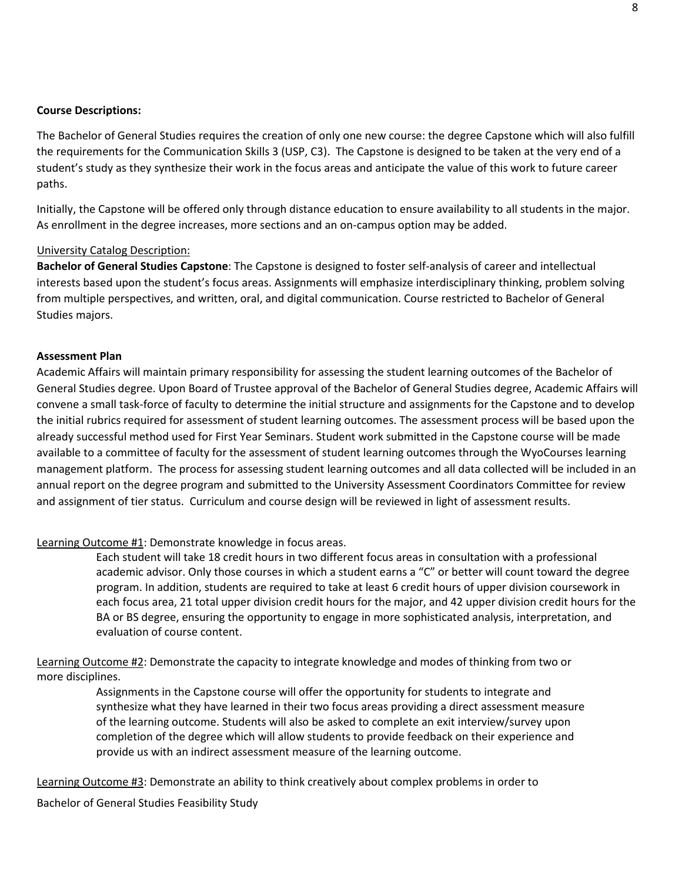#### **Course Descriptions:**

The Bachelor of General Studies requires the creation of only one new course: the degree Capstone which will also fulfill the requirements for the Communication Skills 3 (USP, C3). The Capstone is designed to be taken at the very end of a student's study as they synthesize their work in the focus areas and anticipate the value of this work to future career paths.

Initially, the Capstone will be offered only through distance education to ensure availability to all students in the major. As enrollment in the degree increases, more sections and an on-campus option may be added.

#### University Catalog Description:

**Bachelor of General Studies Capstone**: The Capstone is designed to foster self-analysis of career and intellectual interests based upon the student's focus areas. Assignments will emphasize interdisciplinary thinking, problem solving from multiple perspectives, and written, oral, and digital communication. Course restricted to Bachelor of General Studies majors.

#### **Assessment Plan**

Academic Affairs will maintain primary responsibility for assessing the student learning outcomes of the Bachelor of General Studies degree. Upon Board of Trustee approval of the Bachelor of General Studies degree, Academic Affairs will convene a small task-force of faculty to determine the initial structure and assignments for the Capstone and to develop the initial rubrics required for assessment of student learning outcomes. The assessment process will be based upon the already successful method used for First Year Seminars. Student work submitted in the Capstone course will be made available to a committee of faculty for the assessment of student learning outcomes through the WyoCourses learning management platform. The process for assessing student learning outcomes and all data collected will be included in an annual report on the degree program and submitted to the University Assessment Coordinators Committee for review and assignment of tier status. Curriculum and course design will be reviewed in light of assessment results.

#### Learning Outcome #1: Demonstrate knowledge in focus areas.

Each student will take 18 credit hours in two different focus areas in consultation with a professional academic advisor. Only those courses in which a student earns a "C" or better will count toward the degree program. In addition, students are required to take at least 6 credit hours of upper division coursework in each focus area, 21 total upper division credit hours for the major, and 42 upper division credit hours for the BA or BS degree, ensuring the opportunity to engage in more sophisticated analysis, interpretation, and evaluation of course content.

Learning Outcome #2: Demonstrate the capacity to integrate knowledge and modes of thinking from two or more disciplines.

> Assignments in the Capstone course will offer the opportunity for students to integrate and synthesize what they have learned in their two focus areas providing a direct assessment measure of the learning outcome. Students will also be asked to complete an exit interview/survey upon completion of the degree which will allow students to provide feedback on their experience and provide us with an indirect assessment measure of the learning outcome.

Learning Outcome #3: Demonstrate an ability to think creatively about complex problems in order to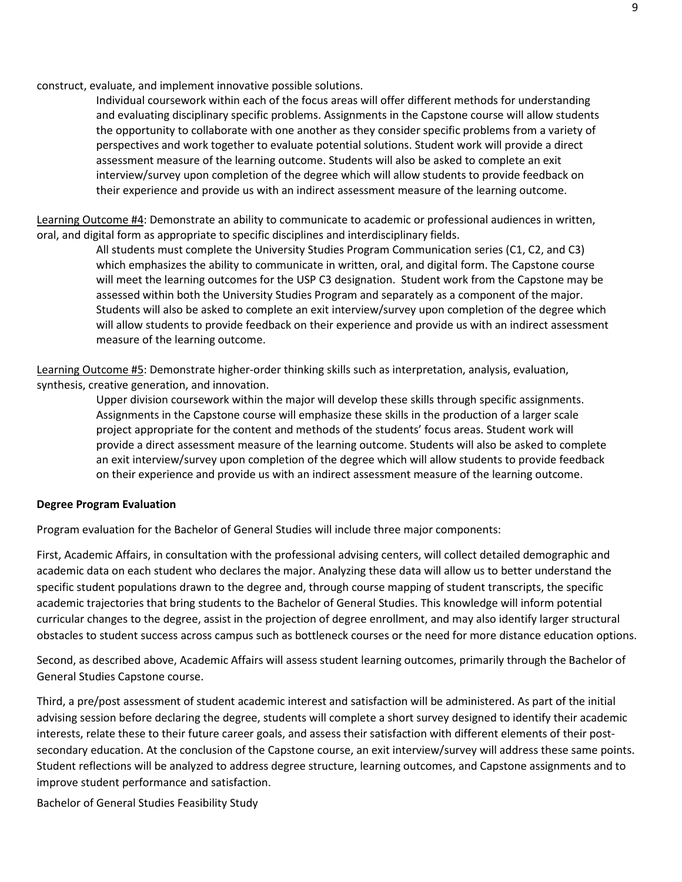construct, evaluate, and implement innovative possible solutions.

Individual coursework within each of the focus areas will offer different methods for understanding and evaluating disciplinary specific problems. Assignments in the Capstone course will allow students the opportunity to collaborate with one another as they consider specific problems from a variety of perspectives and work together to evaluate potential solutions. Student work will provide a direct assessment measure of the learning outcome. Students will also be asked to complete an exit interview/survey upon completion of the degree which will allow students to provide feedback on their experience and provide us with an indirect assessment measure of the learning outcome.

Learning Outcome #4: Demonstrate an ability to communicate to academic or professional audiences in written, oral, and digital form as appropriate to specific disciplines and interdisciplinary fields.

> All students must complete the University Studies Program Communication series (C1, C2, and C3) which emphasizes the ability to communicate in written, oral, and digital form. The Capstone course will meet the learning outcomes for the USP C3 designation. Student work from the Capstone may be assessed within both the University Studies Program and separately as a component of the major. Students will also be asked to complete an exit interview/survey upon completion of the degree which will allow students to provide feedback on their experience and provide us with an indirect assessment measure of the learning outcome.

Learning Outcome #5: Demonstrate higher-order thinking skills such as interpretation, analysis, evaluation, synthesis, creative generation, and innovation.

> Upper division coursework within the major will develop these skills through specific assignments. Assignments in the Capstone course will emphasize these skills in the production of a larger scale project appropriate for the content and methods of the students' focus areas. Student work will provide a direct assessment measure of the learning outcome. Students will also be asked to complete an exit interview/survey upon completion of the degree which will allow students to provide feedback on their experience and provide us with an indirect assessment measure of the learning outcome.

#### **Degree Program Evaluation**

Program evaluation for the Bachelor of General Studies will include three major components:

First, Academic Affairs, in consultation with the professional advising centers, will collect detailed demographic and academic data on each student who declares the major. Analyzing these data will allow us to better understand the specific student populations drawn to the degree and, through course mapping of student transcripts, the specific academic trajectories that bring students to the Bachelor of General Studies. This knowledge will inform potential curricular changes to the degree, assist in the projection of degree enrollment, and may also identify larger structural obstacles to student success across campus such as bottleneck courses or the need for more distance education options.

Second, as described above, Academic Affairs will assess student learning outcomes, primarily through the Bachelor of General Studies Capstone course.

Third, a pre/post assessment of student academic interest and satisfaction will be administered. As part of the initial advising session before declaring the degree, students will complete a short survey designed to identify their academic interests, relate these to their future career goals, and assess their satisfaction with different elements of their postsecondary education. At the conclusion of the Capstone course, an exit interview/survey will address these same points. Student reflections will be analyzed to address degree structure, learning outcomes, and Capstone assignments and to improve student performance and satisfaction.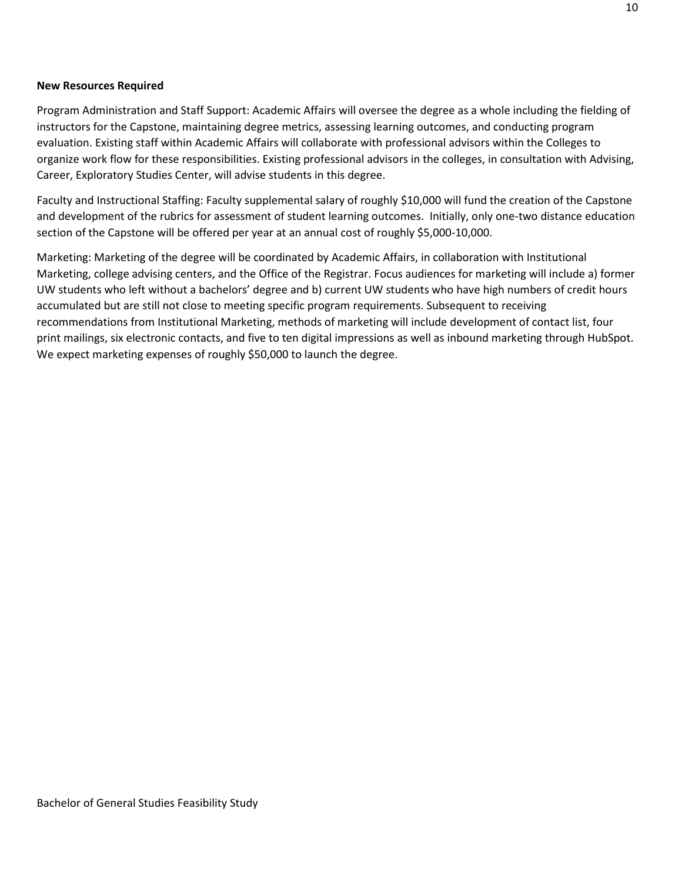## **New Resources Required**

Program Administration and Staff Support: Academic Affairs will oversee the degree as a whole including the fielding of instructors for the Capstone, maintaining degree metrics, assessing learning outcomes, and conducting program evaluation. Existing staff within Academic Affairs will collaborate with professional advisors within the Colleges to organize work flow for these responsibilities. Existing professional advisors in the colleges, in consultation with Advising, Career, Exploratory Studies Center, will advise students in this degree.

Faculty and Instructional Staffing: Faculty supplemental salary of roughly \$10,000 will fund the creation of the Capstone and development of the rubrics for assessment of student learning outcomes. Initially, only one-two distance education section of the Capstone will be offered per year at an annual cost of roughly \$5,000-10,000.

Marketing: Marketing of the degree will be coordinated by Academic Affairs, in collaboration with Institutional Marketing, college advising centers, and the Office of the Registrar. Focus audiences for marketing will include a) former UW students who left without a bachelors' degree and b) current UW students who have high numbers of credit hours accumulated but are still not close to meeting specific program requirements. Subsequent to receiving recommendations from Institutional Marketing, methods of marketing will include development of contact list, four print mailings, six electronic contacts, and five to ten digital impressions as well as inbound marketing through HubSpot. We expect marketing expenses of roughly \$50,000 to launch the degree.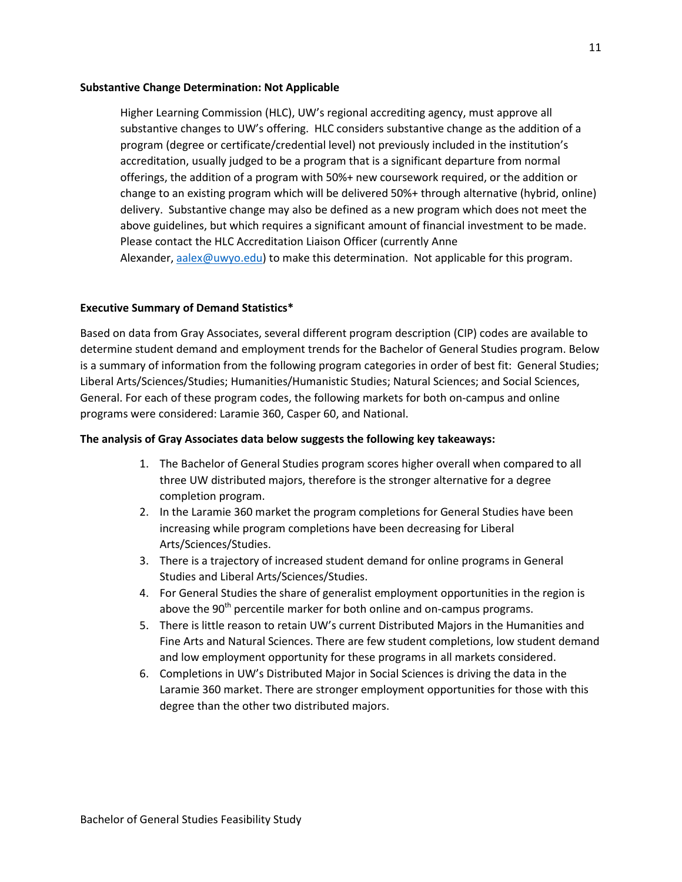#### **Substantive Change Determination: Not Applicable**

Higher Learning Commission (HLC), UW's regional accrediting agency, must approve all substantive changes to UW's offering. HLC considers substantive change as the addition of a program (degree or certificate/credential level) not previously included in the institution's accreditation, usually judged to be a program that is a significant departure from normal offerings, the addition of a program with 50%+ new coursework required, or the addition or change to an existing program which will be delivered 50%+ through alternative (hybrid, online) delivery. Substantive change may also be defined as a new program which does not meet the above guidelines, but which requires a significant amount of financial investment to be made. Please contact the HLC Accreditation Liaison Officer (currently Anne Alexander[, aalex@uwyo.edu\)](mailto:aalex@uwyo.edu) to make this determination. Not applicable for this program.

## **Executive Summary of Demand Statistics\***

Based on data from Gray Associates, several different program description (CIP) codes are available to determine student demand and employment trends for the Bachelor of General Studies program. Below is a summary of information from the following program categories in order of best fit: General Studies; Liberal Arts/Sciences/Studies; Humanities/Humanistic Studies; Natural Sciences; and Social Sciences, General. For each of these program codes, the following markets for both on-campus and online programs were considered: Laramie 360, Casper 60, and National.

## **The analysis of Gray Associates data below suggests the following key takeaways:**

- 1. The Bachelor of General Studies program scores higher overall when compared to all three UW distributed majors, therefore is the stronger alternative for a degree completion program.
- 2. In the Laramie 360 market the program completions for General Studies have been increasing while program completions have been decreasing for Liberal Arts/Sciences/Studies.
- 3. There is a trajectory of increased student demand for online programs in General Studies and Liberal Arts/Sciences/Studies.
- 4. For General Studies the share of generalist employment opportunities in the region is above the  $90<sup>th</sup>$  percentile marker for both online and on-campus programs.
- 5. There is little reason to retain UW's current Distributed Majors in the Humanities and Fine Arts and Natural Sciences. There are few student completions, low student demand and low employment opportunity for these programs in all markets considered.
- 6. Completions in UW's Distributed Major in Social Sciences is driving the data in the Laramie 360 market. There are stronger employment opportunities for those with this degree than the other two distributed majors.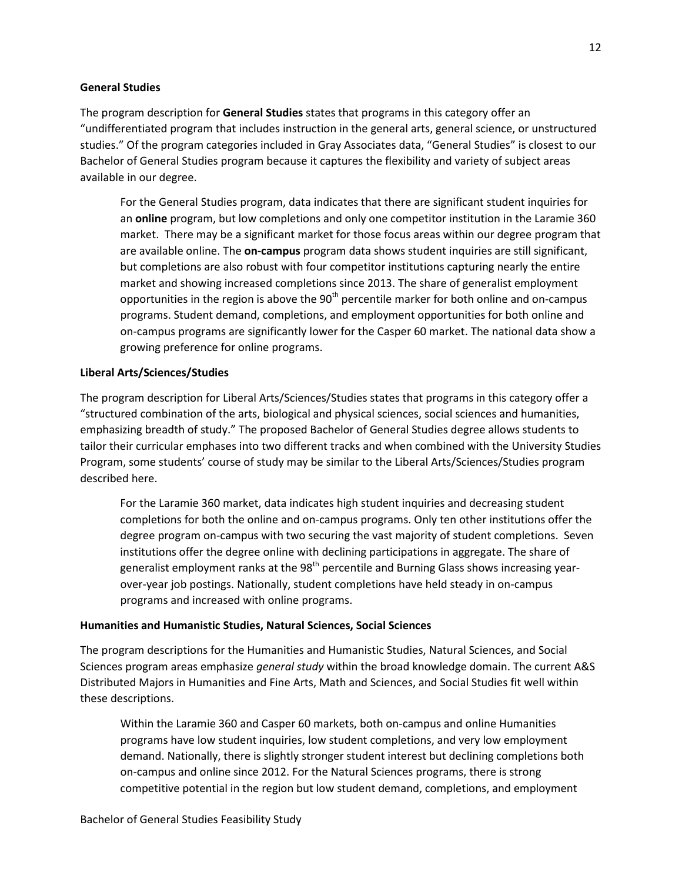#### **General Studies**

The program description for **General Studies** states that programs in this category offer an "undifferentiated program that includes instruction in the general arts, general science, or unstructured studies." Of the program categories included in Gray Associates data, "General Studies" is closest to our Bachelor of General Studies program because it captures the flexibility and variety of subject areas available in our degree.

For the General Studies program, data indicates that there are significant student inquiries for an **online** program, but low completions and only one competitor institution in the Laramie 360 market. There may be a significant market for those focus areas within our degree program that are available online. The **on-campus** program data shows student inquiries are still significant, but completions are also robust with four competitor institutions capturing nearly the entire market and showing increased completions since 2013. The share of generalist employment opportunities in the region is above the  $90<sup>th</sup>$  percentile marker for both online and on-campus programs. Student demand, completions, and employment opportunities for both online and on-campus programs are significantly lower for the Casper 60 market. The national data show a growing preference for online programs.

## **Liberal Arts/Sciences/Studies**

The program description for Liberal Arts/Sciences/Studies states that programs in this category offer a "structured combination of the arts, biological and physical sciences, social sciences and humanities, emphasizing breadth of study." The proposed Bachelor of General Studies degree allows students to tailor their curricular emphases into two different tracks and when combined with the University Studies Program, some students' course of study may be similar to the Liberal Arts/Sciences/Studies program described here.

For the Laramie 360 market, data indicates high student inquiries and decreasing student completions for both the online and on-campus programs. Only ten other institutions offer the degree program on-campus with two securing the vast majority of student completions. Seven institutions offer the degree online with declining participations in aggregate. The share of generalist employment ranks at the  $98<sup>th</sup>$  percentile and Burning Glass shows increasing yearover-year job postings. Nationally, student completions have held steady in on-campus programs and increased with online programs.

#### **Humanities and Humanistic Studies, Natural Sciences, Social Sciences**

The program descriptions for the Humanities and Humanistic Studies, Natural Sciences, and Social Sciences program areas emphasize *general study* within the broad knowledge domain. The current A&S Distributed Majors in Humanities and Fine Arts, Math and Sciences, and Social Studies fit well within these descriptions.

Within the Laramie 360 and Casper 60 markets, both on-campus and online Humanities programs have low student inquiries, low student completions, and very low employment demand. Nationally, there is slightly stronger student interest but declining completions both on-campus and online since 2012. For the Natural Sciences programs, there is strong competitive potential in the region but low student demand, completions, and employment

12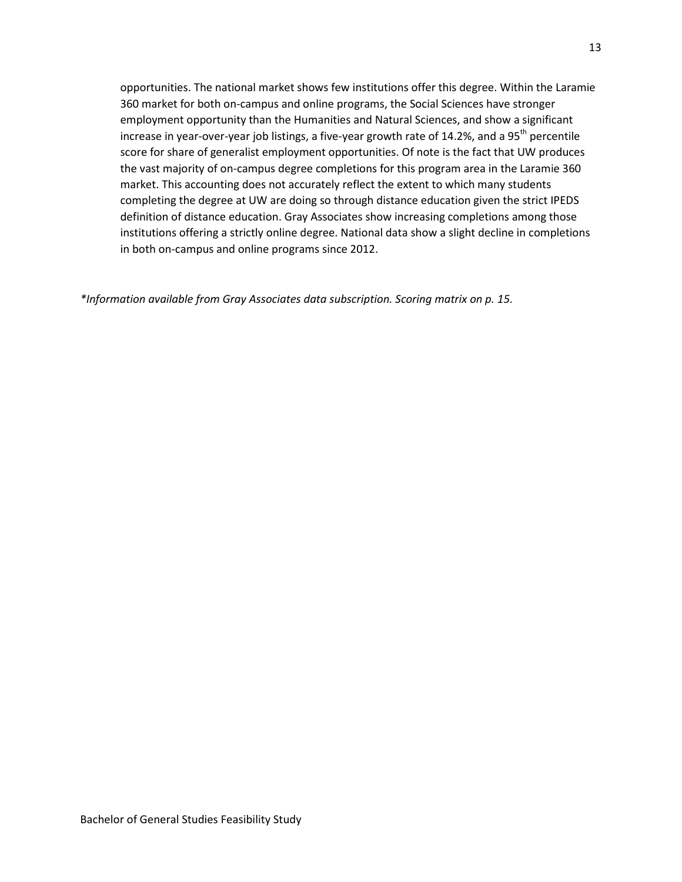opportunities. The national market shows few institutions offer this degree. Within the Laramie 360 market for both on-campus and online programs, the Social Sciences have stronger employment opportunity than the Humanities and Natural Sciences, and show a significant increase in year-over-year job listings, a five-year growth rate of 14.2%, and a 95<sup>th</sup> percentile score for share of generalist employment opportunities. Of note is the fact that UW produces the vast majority of on-campus degree completions for this program area in the Laramie 360 market. This accounting does not accurately reflect the extent to which many students completing the degree at UW are doing so through distance education given the strict IPEDS definition of distance education. Gray Associates show increasing completions among those institutions offering a strictly online degree. National data show a slight decline in completions in both on-campus and online programs since 2012.

*\*Information available from Gray Associates data subscription. Scoring matrix on p. 15.*